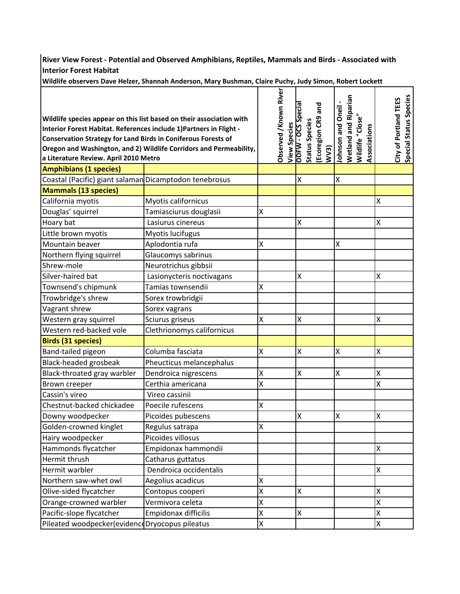**River View Forest ‐ Potential and Observed Amphibians, Reptiles, Mammals and Birds ‐ Associated with Interior Forest Habitat**

**Wildlife observers Dave Helzer, Shannah Anderson, Mary Bushman, Claire Puchy, Judy Simon, Robert Lockett**

|                                                                      |                            |   | Observed /Known River | <b>ODFW - OCS Specia</b>  |                       | Ecoregion CR9 and |                          | <b>Wetland and Riparian</b> |                  |              |                           | City of Portland TEES | Special Status Species |
|----------------------------------------------------------------------|----------------------------|---|-----------------------|---------------------------|-----------------------|-------------------|--------------------------|-----------------------------|------------------|--------------|---------------------------|-----------------------|------------------------|
| Wildlife species appear on this list based on their association with |                            |   |                       |                           |                       |                   |                          |                             |                  |              |                           |                       |                        |
| Interior Forest Habitat. References include 1) Partners in Flight -  |                            |   | <b>View Species</b>   |                           | <b>Status Species</b> |                   | <b>Johnson and Oneil</b> |                             | Wildlife "Close" | Associations |                           |                       |                        |
| <b>Conservation Strategy for Land Birds in Coniferous Forests of</b> |                            |   |                       |                           |                       |                   |                          |                             |                  |              |                           |                       |                        |
| Oregon and Washington, and 2) Wildlife Corridors and Permeability,   |                            |   |                       |                           |                       | W <sub>3</sub>    |                          |                             |                  |              |                           |                       |                        |
| a Literature Review. April 2010 Metro                                |                            |   |                       |                           |                       |                   |                          |                             |                  |              |                           |                       |                        |
| <b>Amphibians (1 species)</b>                                        |                            |   |                       |                           |                       |                   |                          |                             |                  |              |                           |                       |                        |
| Coastal (Pacific) giant salaman Dicamptodon tenebrosus               |                            |   |                       | X                         |                       |                   | Χ                        |                             |                  |              |                           |                       |                        |
| <b>Mammals (13 species)</b>                                          |                            |   |                       |                           |                       |                   |                          |                             |                  |              |                           |                       |                        |
| California myotis                                                    | Myotis californicus        |   |                       |                           |                       |                   |                          |                             |                  |              | X                         |                       |                        |
| Douglas' squirrel                                                    | Tamiasciurus douglasii     | Χ |                       |                           |                       |                   |                          |                             |                  |              |                           |                       |                        |
| Hoary bat                                                            | Lasiurus cinereus          |   |                       | $\boldsymbol{\mathsf{X}}$ |                       |                   |                          |                             |                  |              | $\boldsymbol{\mathsf{X}}$ |                       |                        |
| Little brown myotis                                                  | Myotis lucifugus           |   |                       |                           |                       |                   |                          |                             |                  |              |                           |                       |                        |
| Mountain beaver                                                      | Aplodontia rufa            | Χ |                       |                           |                       |                   | Χ                        |                             |                  |              |                           |                       |                        |
| Northern flying squirrel                                             | Glaucomys sabrinus         |   |                       |                           |                       |                   |                          |                             |                  |              |                           |                       |                        |
| Shrew-mole                                                           | Neurotrichus gibbsii       |   |                       |                           |                       |                   |                          |                             |                  |              |                           |                       |                        |
| Silver-haired bat                                                    | Lasionycteris noctivagans  |   |                       | $\boldsymbol{\mathsf{X}}$ |                       |                   |                          |                             |                  |              | $\boldsymbol{\mathsf{X}}$ |                       |                        |
| Townsend's chipmunk                                                  | Tamias townsendii          | X |                       |                           |                       |                   |                          |                             |                  |              |                           |                       |                        |
| Trowbridge's shrew                                                   | Sorex trowbridgii          |   |                       |                           |                       |                   |                          |                             |                  |              |                           |                       |                        |
| Vagrant shrew                                                        | Sorex vagrans              |   |                       |                           |                       |                   |                          |                             |                  |              |                           |                       |                        |
| Western gray squirrel                                                | Sciurus griseus            | X |                       | Χ                         |                       |                   |                          |                             |                  |              | Χ                         |                       |                        |
| Western red-backed vole                                              | Clethrionomys californicus |   |                       |                           |                       |                   |                          |                             |                  |              |                           |                       |                        |
| <b>Birds (31 species)</b>                                            |                            |   |                       |                           |                       |                   |                          |                             |                  |              |                           |                       |                        |
| Band-tailed pigeon                                                   | Columba fasciata           | Χ |                       | $\pmb{\mathsf{X}}$        |                       |                   | X                        |                             |                  |              | X                         |                       |                        |
| Black-headed grosbeak                                                | Pheucticus melancephalus   |   |                       |                           |                       |                   |                          |                             |                  |              |                           |                       |                        |
| Black-throated gray warbler                                          | Dendroica nigrescens       | X |                       | $\pmb{\mathsf{X}}$        |                       |                   | X                        |                             |                  |              | X                         |                       |                        |
| Brown creeper                                                        | Certhia americana          | Χ |                       |                           |                       |                   |                          |                             |                  |              | $\mathsf{\mathsf{X}}$     |                       |                        |
| Cassin's vireo                                                       | Vireo cassinii             |   |                       |                           |                       |                   |                          |                             |                  |              |                           |                       |                        |
| Chestnut-backed chickadee                                            | Poecile rufescens          | X |                       |                           |                       |                   |                          |                             |                  |              |                           |                       |                        |
| Downy woodpecker                                                     | Picoides pubescens         |   |                       | $\boldsymbol{\mathsf{X}}$ |                       |                   | X                        |                             |                  |              | X                         |                       |                        |
| Golden-crowned kinglet                                               | Regulus satrapa            | X |                       |                           |                       |                   |                          |                             |                  |              |                           |                       |                        |
| Hairy woodpecker                                                     | Picoides villosus          |   |                       |                           |                       |                   |                          |                             |                  |              |                           |                       |                        |
| Hammonds flycatcher                                                  | Empidonax hammondii        |   |                       |                           |                       |                   |                          |                             |                  |              | X                         |                       |                        |
| Hermit thrush                                                        | Catharus guttatus          |   |                       |                           |                       |                   |                          |                             |                  |              |                           |                       |                        |
| Hermit warbler                                                       | Dendroica occidentalis     |   |                       |                           |                       |                   |                          |                             |                  |              | X                         |                       |                        |
| Northern saw-whet owl                                                | Aegolius acadicus          | Χ |                       |                           |                       |                   |                          |                             |                  |              |                           |                       |                        |
| Olive-sided flycatcher                                               | Contopus cooperi           | X |                       | X                         |                       |                   |                          |                             |                  |              | X                         |                       |                        |
| Orange-crowned warbler                                               | Vermivora celeta           | X |                       |                           |                       |                   |                          |                             |                  |              | $\sf X$                   |                       |                        |
| Pacific-slope flycatcher                                             | Empidonax difficilis       | X |                       | Χ                         |                       |                   |                          |                             |                  |              | X                         |                       |                        |
| Pileated woodpecker(evidenceDryocopus pileatus                       |                            | X |                       |                           |                       |                   |                          |                             |                  |              | $\mathsf{X}$              |                       |                        |